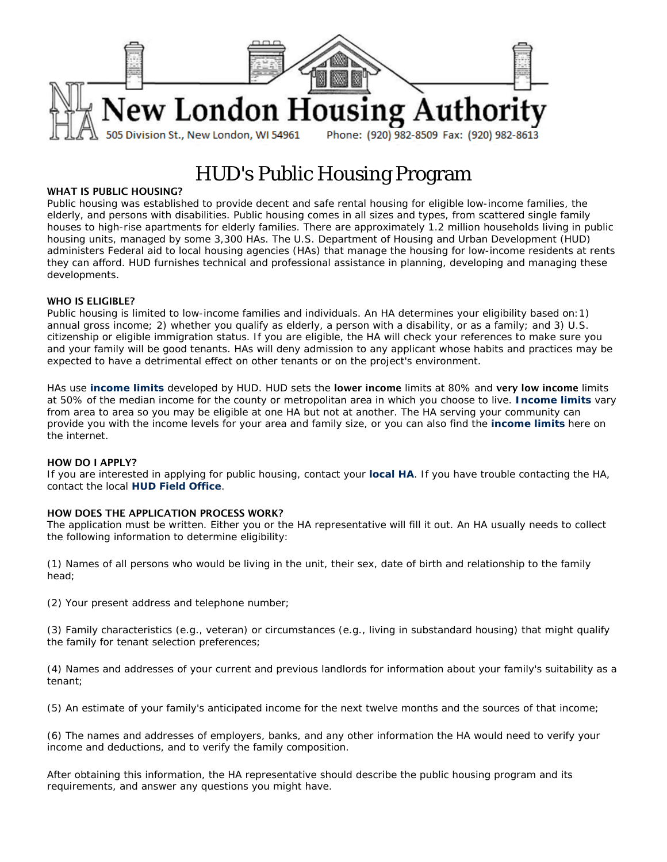

# HUD's Public Housing Program

## WHAT IS PUBLIC HOUSING?

Public housing was established to provide decent and safe rental housing for eligible low-income families, the elderly, and persons with disabilities. Public housing comes in all sizes and types, from scattered single family houses to high-rise apartments for elderly families. There are approximately 1.2 million households living in public housing units, managed by some 3,300 HAs. The U.S. Department of Housing and Urban Development (HUD) administers Federal aid to local housing agencies (HAs) that manage the housing for low-income residents at rents they can afford. HUD furnishes technical and professional assistance in planning, developing and managing these developments.

## WHO IS ELIGIBLE?

Public housing is limited to low-income families and individuals. An HA determines your eligibility based on:1) annual gross income; 2) whether you qualify as elderly, a person with a disability, or as a family; and 3) U.S. citizenship or eligible immigration status. If you are eligible, the HA will check your references to make sure you and your family will be good tenants. HAs will deny admission to any applicant whose habits and practices may be expected to have a detrimental effect on other tenants or on the project's environment.

HAs use **[income limits](http://www.huduser.org/datasets/il.html)** developed by HUD. HUD sets the lower income limits at 80% and very low income limits at 50% of the median income for the county or metropolitan area in which you choose to live. **[Income limits](http://www.huduser.org/datasets/il.html)** vary from area to area so you may be eligible at one HA but not at another. The HA serving your community can provide you with the income levels for your area and family size, or you can also find the **[income limits](http://www.huduser.org/datasets/il.html)** here on the internet.

#### HOW DO I APPLY?

If you are interested in applying for public housing, contact your **[local HA](http://www.hud.gov/offices/pih/pha/contacts/)**. If you have trouble contacting the HA, contact the local **[HUD Field Office](http://www.hud.gov/localoffices.cfm)**.

#### HOW DOES THE APPLICATION PROCESS WORK?

The application must be written. Either you or the HA representative will fill it out. An HA usually needs to collect the following information to determine eligibility:

(1) Names of all persons who would be living in the unit, their sex, date of birth and relationship to the family head;

(2) Your present address and telephone number;

(3) Family characteristics (e.g., veteran) or circumstances (e.g., living in substandard housing) that might qualify the family for tenant selection preferences;

(4) Names and addresses of your current and previous landlords for information about your family's suitability as a tenant;

(5) An estimate of your family's anticipated income for the next twelve months and the sources of that income;

(6) The names and addresses of employers, banks, and any other information the HA would need to verify your income and deductions, and to verify the family composition.

After obtaining this information, the HA representative should describe the public housing program and its requirements, and answer any questions you might have.